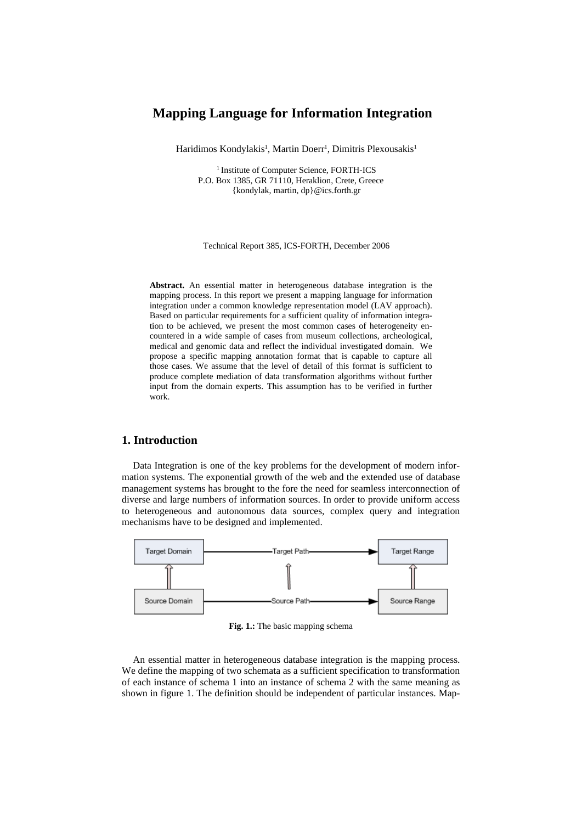# **Mapping Language for Information Integration**

Haridimos Kondylakis<sup>1</sup>, Martin Doerr<sup>1</sup>, Dimitris Plexousakis<sup>1</sup>

<sup>1</sup> Institute of Computer Science, FORTH-ICS P.O. Box 1385, GR 71110, Heraklion, Crete, Greece {kondylak, martin, dp}@ics.forth.gr

#### Technical Report 385, ICS-FORTH, December 2006

**Abstract.** An essential matter in heterogeneous database integration is the mapping process. In this report we present a mapping language for information integration under a common knowledge representation model (LAV approach). Based on particular requirements for a sufficient quality of information integration to be achieved, we present the most common cases of heterogeneity encountered in a wide sample of cases from museum collections, archeological, medical and genomic data and reflect the individual investigated domain. We propose a specific mapping annotation format that is capable to capture all those cases. We assume that the level of detail of this format is sufficient to produce complete mediation of data transformation algorithms without further input from the domain experts. This assumption has to be verified in further work.

# **1. Introduction**

Data Integration is one of the key problems for the development of modern information systems. The exponential growth of the web and the extended use of database management systems has brought to the fore the need for seamless interconnection of diverse and large numbers of information sources. In order to provide uniform access to heterogeneous and autonomous data sources, complex query and integration mechanisms have to be designed and implemented.



**Fig. 1.:** The basic mapping schema

An essential matter in heterogeneous database integration is the mapping process. We define the mapping of two schemata as a sufficient specification to transformation of each instance of schema 1 into an instance of schema 2 with the same meaning as shown in figure 1. The definition should be independent of particular instances. Map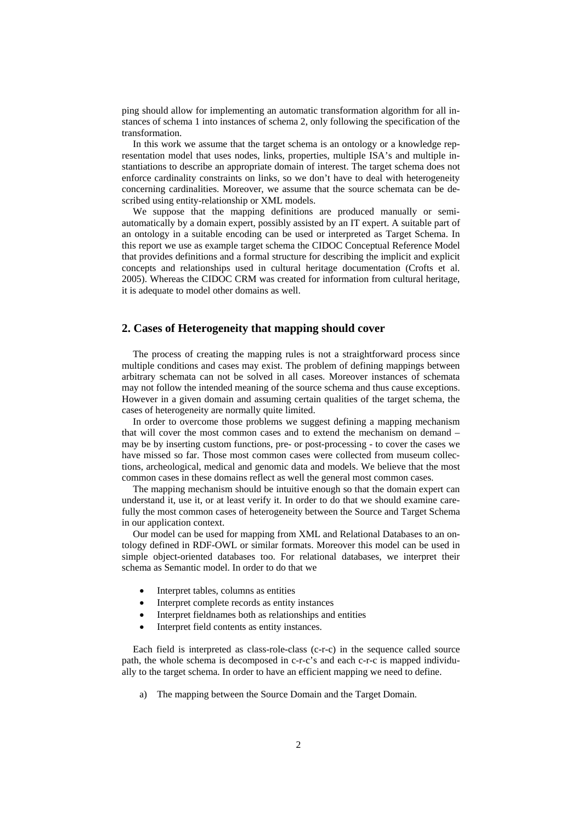ping should allow for implementing an automatic transformation algorithm for all instances of schema 1 into instances of schema 2, only following the specification of the transformation.

In this work we assume that the target schema is an ontology or a knowledge representation model that uses nodes, links, properties, multiple ISA's and multiple instantiations to describe an appropriate domain of interest. The target schema does not enforce cardinality constraints on links, so we don't have to deal with heterogeneity concerning cardinalities. Moreover, we assume that the source schemata can be described using entity-relationship or XML models.

We suppose that the mapping definitions are produced manually or semiautomatically by a domain expert, possibly assisted by an IT expert. A suitable part of an ontology in a suitable encoding can be used or interpreted as Target Schema. In this report we use as example target schema the CIDOC Conceptual Reference Model that provides definitions and a formal structure for describing the implicit and explicit concepts and relationships used in cultural heritage documentation (Crofts et al. 2005). Whereas the CIDOC CRM was created for information from cultural heritage, it is adequate to model other domains as well.

# **2. Cases of Heterogeneity that mapping should cover**

The process of creating the mapping rules is not a straightforward process since multiple conditions and cases may exist. The problem of defining mappings between arbitrary schemata can not be solved in all cases. Moreover instances of schemata may not follow the intended meaning of the source schema and thus cause exceptions. However in a given domain and assuming certain qualities of the target schema, the cases of heterogeneity are normally quite limited.

In order to overcome those problems we suggest defining a mapping mechanism that will cover the most common cases and to extend the mechanism on demand – may be by inserting custom functions, pre- or post-processing - to cover the cases we have missed so far. Those most common cases were collected from museum collections, archeological, medical and genomic data and models. We believe that the most common cases in these domains reflect as well the general most common cases.

The mapping mechanism should be intuitive enough so that the domain expert can understand it, use it, or at least verify it. In order to do that we should examine carefully the most common cases of heterogeneity between the Source and Target Schema in our application context.

Our model can be used for mapping from XML and Relational Databases to an ontology defined in RDF-OWL or similar formats. Moreover this model can be used in simple object-oriented databases too. For relational databases, we interpret their schema as Semantic model. In order to do that we

- Interpret tables, columns as entities
- Interpret complete records as entity instances
- Interpret fieldnames both as relationships and entities
- Interpret field contents as entity instances.

Each field is interpreted as class-role-class (c-r-c) in the sequence called source path, the whole schema is decomposed in c-r-c's and each c-r-c is mapped individually to the target schema. In order to have an efficient mapping we need to define.

a) The mapping between the Source Domain and the Target Domain.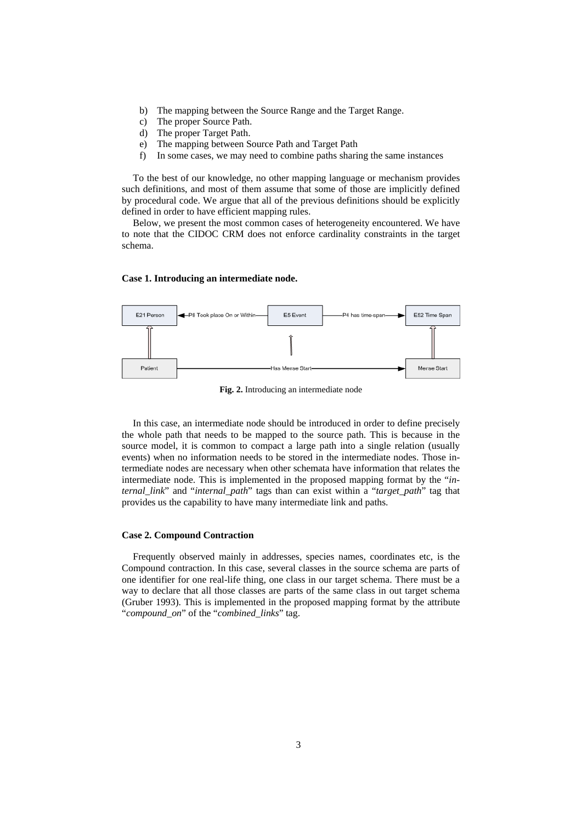- b) The mapping between the Source Range and the Target Range.
- c) The proper Source Path.
- d) The proper Target Path.
- e) The mapping between Source Path and Target Path
- f) In some cases, we may need to combine paths sharing the same instances

To the best of our knowledge, no other mapping language or mechanism provides such definitions, and most of them assume that some of those are implicitly defined by procedural code. We argue that all of the previous definitions should be explicitly defined in order to have efficient mapping rules.

Below, we present the most common cases of heterogeneity encountered. We have to note that the CIDOC CRM does not enforce cardinality constraints in the target schema.

#### **Case 1. Introducing an intermediate node.**



**Fig. 2.** Introducing an intermediate node

In this case, an intermediate node should be introduced in order to define precisely the whole path that needs to be mapped to the source path. This is because in the source model, it is common to compact a large path into a single relation (usually events) when no information needs to be stored in the intermediate nodes. Those intermediate nodes are necessary when other schemata have information that relates the intermediate node. This is implemented in the proposed mapping format by the "*internal\_link*" and "*internal\_path*" tags than can exist within a "*target\_path*" tag that provides us the capability to have many intermediate link and paths.

#### **Case 2. Compound Contraction**

Frequently observed mainly in addresses, species names, coordinates etc, is the Compound contraction. In this case, several classes in the source schema are parts of one identifier for one real-life thing, one class in our target schema. There must be a way to declare that all those classes are parts of the same class in out target schema (Gruber 1993). This is implemented in the proposed mapping format by the attribute "*compound\_on*" of the "*combined\_links*" tag.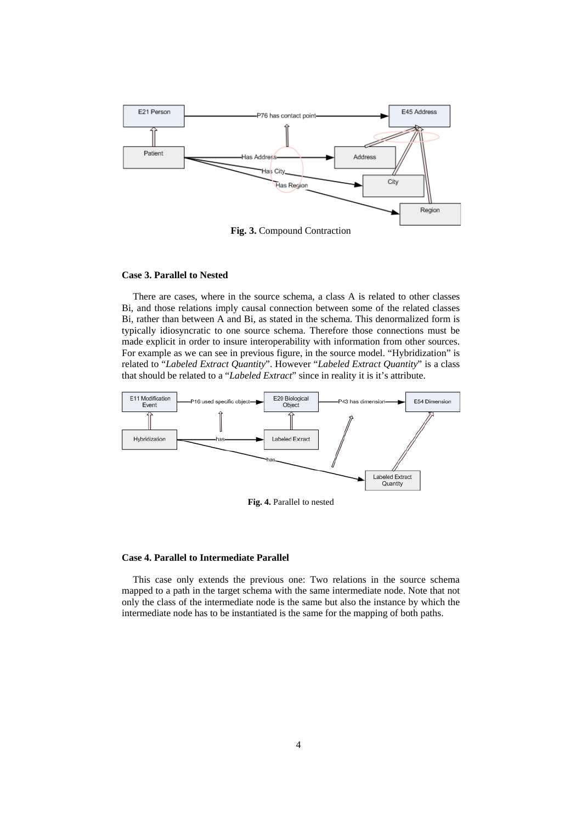

**Fig. 3.** Compound Contraction

### **Case 3. Parallel to Nested**

There are cases, where in the source schema, a class A is related to other classes Bi, and those relations imply causal connection between some of the related classes Bi, rather than between A and Bi, as stated in the schema. This denormalized form is typically idiosyncratic to one source schema. Therefore those connections must be made explicit in order to insure interoperability with information from other sources. For example as we can see in previous figure, in the source model. "Hybridization" is related to "*Labeled Extract Quantity*". However "*Labeled Extract Quantity*" is a class that should be related to a "*Labeled Extract*" since in reality it is it's attribute.



**Fig. 4.** Parallel to nested

## **Case 4. Parallel to Intermediate Parallel**

This case only extends the previous one: Two relations in the source schema mapped to a path in the target schema with the same intermediate node. Note that not only the class of the intermediate node is the same but also the instance by which the intermediate node has to be instantiated is the same for the mapping of both paths.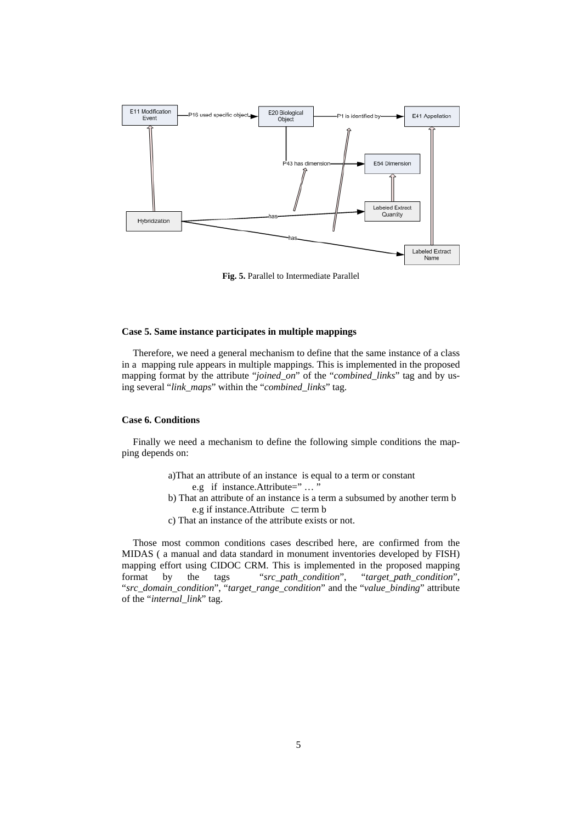

**Fig. 5.** Parallel to Intermediate Parallel

## **Case 5. Same instance participates in multiple mappings**

Therefore, we need a general mechanism to define that the same instance of a class in a mapping rule appears in multiple mappings. This is implemented in the proposed mapping format by the attribute "*joined\_on*" of the "*combined\_links*" tag and by using several "*link\_maps*" within the "*combined\_links*" tag.

### **Case 6. Conditions**

Finally we need a mechanism to define the following simple conditions the mapping depends on:

- a)That an attribute of an instance is equal to a term or constant
	- e.g if instance.Attribute=" ... "
- b) That an attribute of an instance is a term a subsumed by another term b e.g if instance.Attribute ⊂ term b
- c) That an instance of the attribute exists or not.

Those most common conditions cases described here, are confirmed from the MIDAS ( a manual and data standard in monument inventories developed by FISH) mapping effort using CIDOC CRM. This is implemented in the proposed mapping format by the tags "*src\_path\_condition*", "*target\_path\_condition*", "*src\_domain\_condition*", "*target\_range\_condition*" and the "*value\_binding*" attribute of the "*internal\_link*" tag.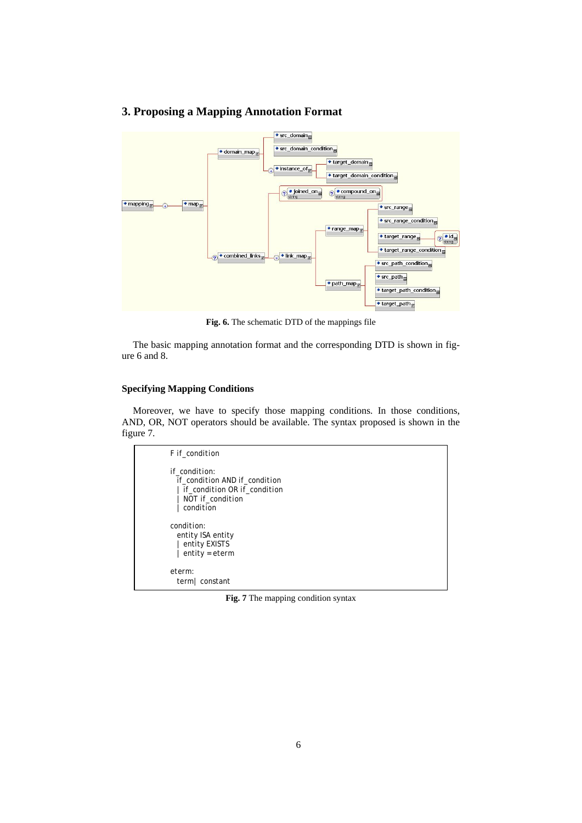# **3. Proposing a Mapping Annotation Format**



**Fig. 6.** The schematic DTD of the mappings file

The basic mapping annotation format and the corresponding DTD is shown in figure 6 and 8.

# **Specifying Mapping Conditions**

Moreover, we have to specify those mapping conditions. In those conditions, AND, OR, NOT operators should be available. The syntax proposed is shown in the figure 7.

```
F if_condition 
if_condition: 
  if_condition AND if_condition
   | if_condition OR if_condition
   | NOT if_condition
   | condition
condition: 
  entity ISA entity 
  | entity EXISTS
   | entity = eterm
eterm: 
  term| constant
```
**Fig. 7** The mapping condition syntax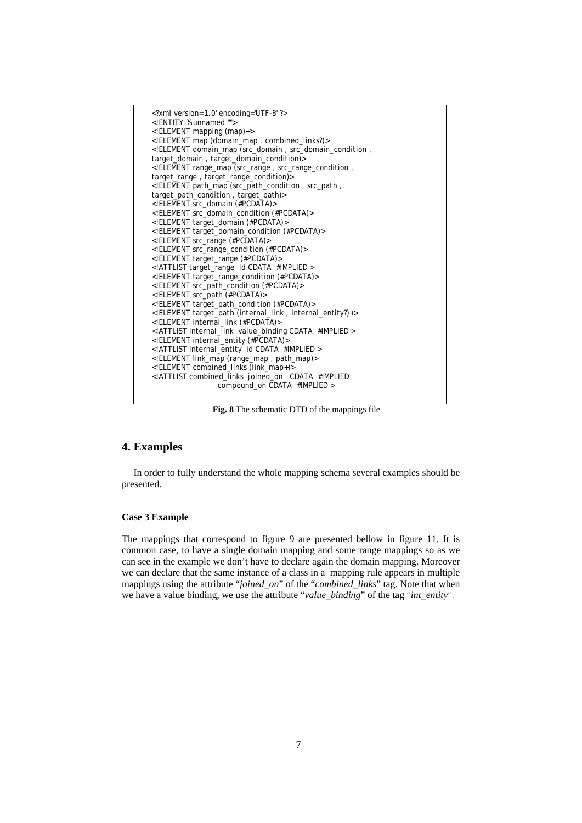

**Fig. 8** The schematic DTD of the mappings file

# **4. Examples**

In order to fully understand the whole mapping schema several examples should be presented.

## **Case 3 Example**

The mappings that correspond to figure 9 are presented bellow in figure 11. It is common case, to have a single domain mapping and some range mappings so as we can see in the example we don't have to declare again the domain mapping. Moreover we can declare that the same instance of a class in a mapping rule appears in multiple mappings using the attribute "*joined*\_*on*" of the "*combined\_links*" tag. Note that when we have a value binding, we use the attribute "*value\_binding*" of the tag "*int\_entity*".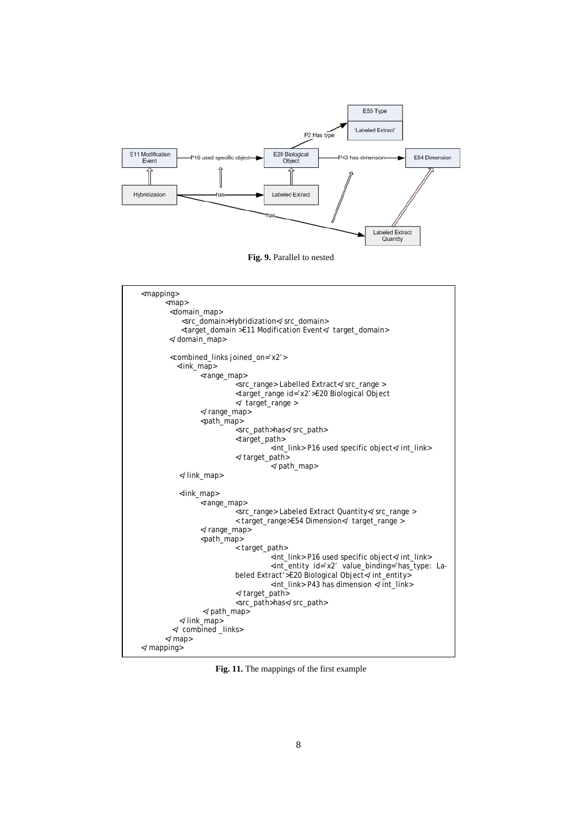

**Fig. 9.** Parallel to nested

```
<mapping>
       <map> 
         <domain_map> 
            <src_domain>Hybridization</src_domain> 
            <target_domain >E11 Modification Event</ target_domain> 
        </domain_map> 
         <combined_links joined_on='x2'> 
           <link_map> 
                <range_map> 
                          <src_range> Labelled Extract</src_range >
                          <target_range id='x2'>E20 Biological Object 
                           </ target_range > 
                </range_map> 
                <path_map> 
                           <src_path>has</src_path> 
                          <target_path> 
                                     <int_link> P16 used specific object</int_link> 
                          </target_path> 
                                      </path_map> 
           </link_map> 
           <link_map> 
                <range_map> 
                           <src_range> Labeled Extract Quantity</src_range > 
                          < target_range>E54 Dimension</ target_range > 
                </range_map> 
                <path_map> 
                          < target_path> 
                                      <int_link> P16 used specific object</int_link> 
                                     <int_entity id='x2' value_binding='has_type: La-
                          beled Extract'>E20 Biological Object</int_entity>
                                     <int_link> P43 has dimension </int_link> 
                          </target_path> 
                          <src_path>has</src_path> 
                  </path_map> 
           </link_map> 
         </ combined _links> 
       </map> 
</mapping>
```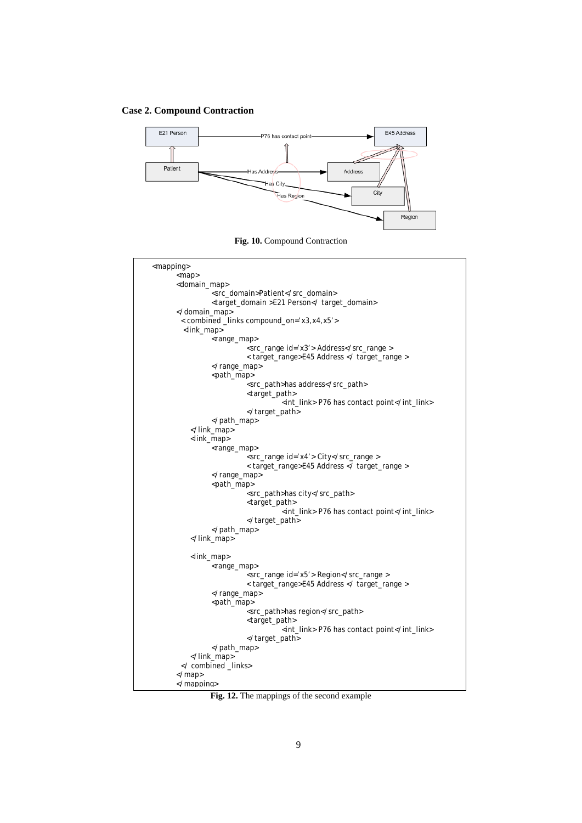## **Case 2. Compound Contraction**